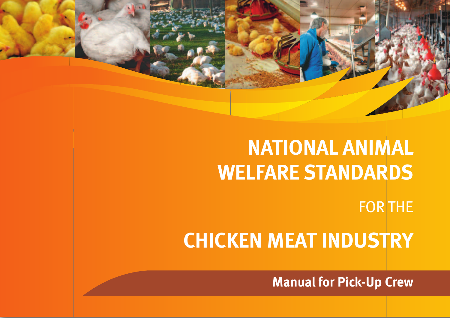# **NATIONAL ANIMAL WELFARE STANDARDS**

FOR THE

# **CHICKEN MEAT INDUSTRY**

**Manual for Pick-Up Crew**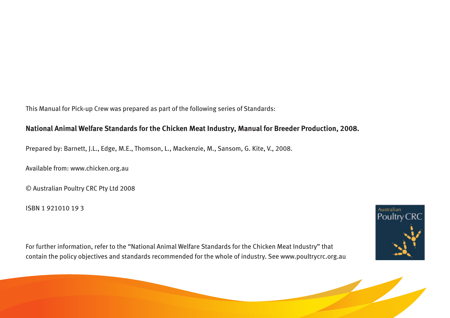This Manual for Pick-up Crew was prepared as part of the following series of Standards:

#### **National Animal Welfare Standards for the Chicken Meat Industry, Manual for Breeder Production, 2008.**

Prepared by: Barnett, J.L., Edge, M.E., Thomson, L., Mackenzie, M., Sansom, G. Kite, V., 2008.

Available from: www.chicken.org.au

© Australian Poultry CRC Pty Ltd 2008

ISBN 1 921010 19 3



For further information, refer to the "National Animal Welfare Standards for the Chicken Meat Industry" that contain the policy objectives and standards recommended for the whole of industry. See www.poultrycrc.org.au

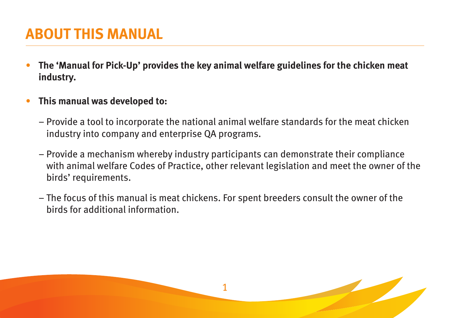# **ABOUT THIS MANUAL**

- **The 'Manual for Pick-Up' provides the key animal welfare guidelines for the chicken meat industry.**
- **This manual was developed to:** 
	- Provide a tool to incorporate the national animal welfare standards for the meat chicken industry into company and enterprise QA programs.
	- Provide a mechanism whereby industry participants can demonstrate their compliance with animal welfare Codes of Practice, other relevant legislation and meet the owner of the birds' requirements.
	- The focus of this manual is meat chickens. For spent breeders consult the owner of the birds for additional information.

1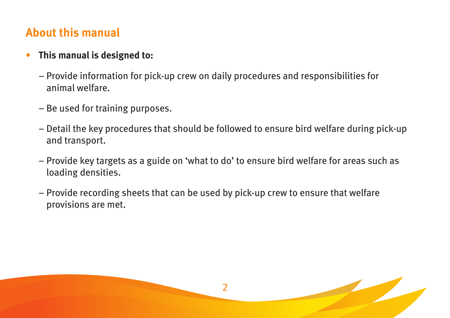#### **About this manual**

#### • **This manual is designed to:**

- Provide information for pick-up crew on daily procedures and responsibilities for animal welfare.
- Be used for training purposes.
- Detail the key procedures that should be followed to ensure bird welfare during pick-up and transport.
- Provide key targets as a guide on 'what to do' to ensure bird welfare for areas such as loading densities.

2

– Provide recording sheets that can be used by pick-up crew to ensure that welfare provisions are met.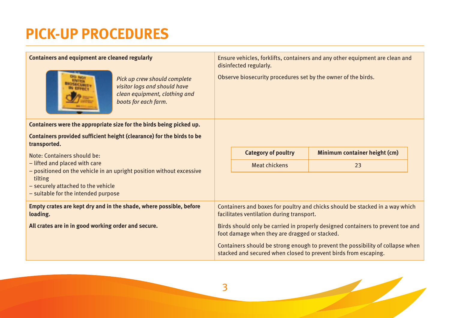# **PICK-UP PROCEDURES**

| Containers and equipment are cleaned regularly<br>Pick up crew should complete<br>visitor logs and should have<br>clean equipment, clothing and<br>boots for each farm.                       | Ensure vehicles, forklifts, containers and any other equipment are clean and<br>disinfected regularly.<br>Observe biosecurity procedures set by the owner of the birds. |  |  |
|-----------------------------------------------------------------------------------------------------------------------------------------------------------------------------------------------|-------------------------------------------------------------------------------------------------------------------------------------------------------------------------|--|--|
| Containers were the appropriate size for the birds being picked up.                                                                                                                           |                                                                                                                                                                         |  |  |
| Containers provided sufficient height (clearance) for the birds to be<br>transported.                                                                                                         |                                                                                                                                                                         |  |  |
| Note: Containers should be:                                                                                                                                                                   | <b>Category of poultry</b><br>Minimum container height (cm)                                                                                                             |  |  |
| - lifted and placed with care<br>- positioned on the vehicle in an upright position without excessive<br>tilting<br>- securely attached to the vehicle<br>- suitable for the intended purpose | <b>Meat chickens</b><br>23                                                                                                                                              |  |  |
| Empty crates are kept dry and in the shade, where possible, before<br>loading.                                                                                                                | Containers and boxes for poultry and chicks should be stacked in a way which<br>facilitates ventilation during transport.                                               |  |  |
| All crates are in in good working order and secure.                                                                                                                                           | Birds should only be carried in properly designed containers to prevent toe and<br>foot damage when they are dragged or stacked.                                        |  |  |
|                                                                                                                                                                                               | Containers should be strong enough to prevent the possibility of collapse when<br>stacked and secured when closed to prevent birds from escaping.                       |  |  |



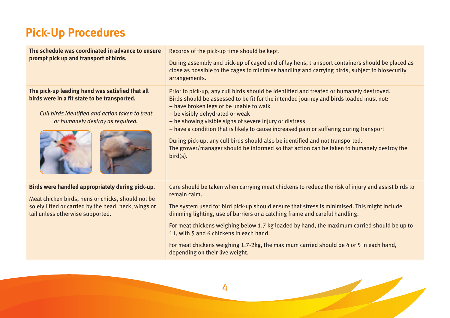## **Pick-Up Procedures**

| The schedule was coordinated in advance to ensure<br>prompt pick up and transport of birds.                                                                                                       | Records of the pick-up time should be kept.<br>During assembly and pick-up of caged end of lay hens, transport containers should be placed as<br>close as possible to the cages to minimise handling and carrying birds, subject to biosecurity<br>arrangements.                                                                                                                                                                                                                                                                                                                                                    |
|---------------------------------------------------------------------------------------------------------------------------------------------------------------------------------------------------|---------------------------------------------------------------------------------------------------------------------------------------------------------------------------------------------------------------------------------------------------------------------------------------------------------------------------------------------------------------------------------------------------------------------------------------------------------------------------------------------------------------------------------------------------------------------------------------------------------------------|
| The pick-up leading hand was satisfied that all<br>birds were in a fit state to be transported.<br>Cull birds identified and action taken to treat<br>or humanely destroy as required.            | Prior to pick-up, any cull birds should be identified and treated or humanely destroyed.<br>Birds should be assessed to be fit for the intended journey and birds loaded must not:<br>- have broken legs or be unable to walk<br>- be visibly dehydrated or weak<br>- be showing visible signs of severe injury or distress<br>- have a condition that is likely to cause increased pain or suffering during transport<br>During pick-up, any cull birds should also be identified and not transported.<br>The grower/manager should be informed so that action can be taken to humanely destroy the<br>$bird(s)$ . |
| Birds were handled appropriately during pick-up.<br>Meat chicken birds, hens or chicks, should not be<br>solely lifted or carried by the head, neck, wings or<br>tail unless otherwise supported. | Care should be taken when carrying meat chickens to reduce the risk of injury and assist birds to<br>remain calm.<br>The system used for bird pick-up should ensure that stress is minimised. This might include<br>dimming lighting, use of barriers or a catching frame and careful handling.<br>For meat chickens weighing below 1.7 kg loaded by hand, the maximum carried should be up to<br>11, with 5 and 6 chickens in each hand.<br>For meat chickens weighing 1.7-2kg, the maximum carried should be 4 or 5 in each hand,<br>depending on their live weight.                                              |



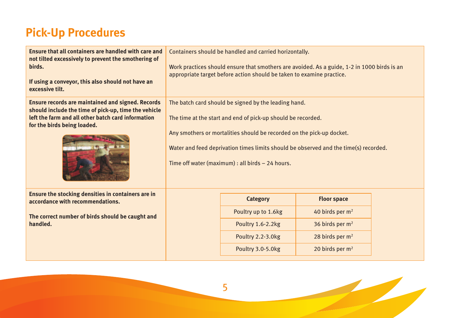## **Pick-Up Procedures**

| Ensure that all containers are handled with care and<br>not tilted excessively to prevent the smothering of<br>birds.<br>If using a conveyor, this also should not have an<br>excessive tilt.         | Containers should be handled and carried horizontally.<br>Work practices should ensure that smothers are avoided. As a guide, 1-2 in 1000 birds is an<br>appropriate target before action should be taken to examine practice.                                                                                                            |                                                                                                       |                                                                                                                                      |  |
|-------------------------------------------------------------------------------------------------------------------------------------------------------------------------------------------------------|-------------------------------------------------------------------------------------------------------------------------------------------------------------------------------------------------------------------------------------------------------------------------------------------------------------------------------------------|-------------------------------------------------------------------------------------------------------|--------------------------------------------------------------------------------------------------------------------------------------|--|
| <b>Ensure records are maintained and signed. Records</b><br>should include the time of pick-up, time the vehicle<br>left the farm and all other batch card information<br>for the birds being loaded. | The batch card should be signed by the leading hand.<br>The time at the start and end of pick-up should be recorded.<br>Any smothers or mortalities should be recorded on the pick-up docket.<br>Water and feed deprivation times limits should be observed and the time(s) recorded.<br>Time off water (maximum) : all birds - 24 hours. |                                                                                                       |                                                                                                                                      |  |
| Ensure the stocking densities in containers are in<br>accordance with recommendations.<br>The correct number of birds should be caught and<br>handled.                                                |                                                                                                                                                                                                                                                                                                                                           | <b>Category</b><br>Poultry up to 1.6kg<br>Poultry 1.6-2.2kg<br>Poultry 2.2-3.0kg<br>Poultry 3.0-5.0kg | <b>Floor space</b><br>40 birds per $m2$<br>36 birds per m <sup>2</sup><br>28 birds per m <sup>2</sup><br>20 birds per m <sup>2</sup> |  |

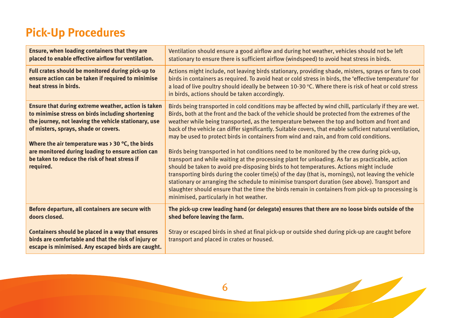## **Pick-Up Procedures**

| Ensure, when loading containers that they are<br>placed to enable effective airflow for ventilation.                                                                                                                                                                                                                                                                                       | Ventilation should ensure a good airflow and during hot weather, vehicles should not be left<br>stationary to ensure there is sufficient airflow (windspeed) to avoid heat stress in birds.                                                                                                                                                                                                                                                                                                                                                                                                                                                                                                                                                                                                                                                                                                                                                                                                                                                                                                                                                                                    |
|--------------------------------------------------------------------------------------------------------------------------------------------------------------------------------------------------------------------------------------------------------------------------------------------------------------------------------------------------------------------------------------------|--------------------------------------------------------------------------------------------------------------------------------------------------------------------------------------------------------------------------------------------------------------------------------------------------------------------------------------------------------------------------------------------------------------------------------------------------------------------------------------------------------------------------------------------------------------------------------------------------------------------------------------------------------------------------------------------------------------------------------------------------------------------------------------------------------------------------------------------------------------------------------------------------------------------------------------------------------------------------------------------------------------------------------------------------------------------------------------------------------------------------------------------------------------------------------|
| Full crates should be monitored during pick-up to<br>ensure action can be taken if required to minimise<br>heat stress in birds.                                                                                                                                                                                                                                                           | Actions might include, not leaving birds stationary, providing shade, misters, sprays or fans to cool<br>birds in containers as required. To avoid heat or cold stress in birds, the 'effective temperature' for<br>a load of live poultry should ideally be between 10-30 °C. Where there is risk of heat or cold stress<br>in birds, actions should be taken accordingly.                                                                                                                                                                                                                                                                                                                                                                                                                                                                                                                                                                                                                                                                                                                                                                                                    |
| Ensure that during extreme weather, action is taken<br>to minimise stress on birds including shortening<br>the journey, not leaving the vehicle stationary, use<br>of misters, sprays, shade or covers.<br>Where the air temperature was $\rightarrow$ 30 °C, the birds<br>are monitored during loading to ensure action can<br>be taken to reduce the risk of heat stress if<br>required. | Birds being transported in cold conditions may be affected by wind chill, particularly if they are wet.<br>Birds, both at the front and the back of the vehicle should be protected from the extremes of the<br>weather while being transported, as the temperature between the top and bottom and front and<br>back of the vehicle can differ significantly. Suitable covers, that enable sufficient natural ventilation,<br>may be used to protect birds in containers from wind and rain, and from cold conditions.<br>Birds being transported in hot conditions need to be monitored by the crew during pick-up,<br>transport and while waiting at the processing plant for unloading. As far as practicable, action<br>should be taken to avoid pre-disposing birds to hot temperatures. Actions might include<br>transporting birds during the cooler time(s) of the day (that is, mornings), not leaving the vehicle<br>stationary or arranging the schedule to minimise transport duration (see above). Transport and<br>slaughter should ensure that the time the birds remain in containers from pick-up to processing is<br>minimised, particularly in hot weather. |
| Before departure, all containers are secure with<br>doors closed.                                                                                                                                                                                                                                                                                                                          | The pick-up crew leading hand (or delegate) ensures that there are no loose birds outside of the<br>shed before leaving the farm.                                                                                                                                                                                                                                                                                                                                                                                                                                                                                                                                                                                                                                                                                                                                                                                                                                                                                                                                                                                                                                              |
| Containers should be placed in a way that ensures<br>birds are comfortable and that the risk of injury or<br>escape is minimised. Any escaped birds are caught.                                                                                                                                                                                                                            | Stray or escaped birds in shed at final pick-up or outside shed during pick-up are caught before<br>transport and placed in crates or housed.                                                                                                                                                                                                                                                                                                                                                                                                                                                                                                                                                                                                                                                                                                                                                                                                                                                                                                                                                                                                                                  |

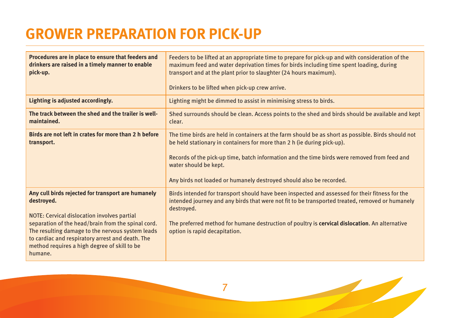# **GROWER PREPARATION FOR PICK-UP**

| Procedures are in place to ensure that feeders and<br>drinkers are raised in a timely manner to enable<br>pick-up.                                                                                                                                                                                                                       | Feeders to be lifted at an appropriate time to prepare for pick-up and with consideration of the<br>maximum feed and water deprivation times for birds including time spent loading, during<br>transport and at the plant prior to slaughter (24 hours maximum).<br>Drinkers to be lifted when pick-up crew arrive.                                                           |  |  |
|------------------------------------------------------------------------------------------------------------------------------------------------------------------------------------------------------------------------------------------------------------------------------------------------------------------------------------------|-------------------------------------------------------------------------------------------------------------------------------------------------------------------------------------------------------------------------------------------------------------------------------------------------------------------------------------------------------------------------------|--|--|
| Lighting is adjusted accordingly.                                                                                                                                                                                                                                                                                                        | Lighting might be dimmed to assist in minimising stress to birds.                                                                                                                                                                                                                                                                                                             |  |  |
| The track between the shed and the trailer is well-<br>maintained.                                                                                                                                                                                                                                                                       | Shed surrounds should be clean. Access points to the shed and birds should be available and kept<br>clear.                                                                                                                                                                                                                                                                    |  |  |
| Birds are not left in crates for more than 2 h before<br>transport.                                                                                                                                                                                                                                                                      | The time birds are held in containers at the farm should be as short as possible. Birds should not<br>be held stationary in containers for more than 2 h (ie during pick-up).<br>Records of the pick-up time, batch information and the time birds were removed from feed and<br>water should be kept.<br>Any birds not loaded or humanely destroyed should also be recorded. |  |  |
| Any cull birds rejected for transport are humanely<br>destroyed.<br>NOTE: Cervical dislocation involves partial<br>separation of the head/brain from the spinal cord.<br>The resulting damage to the nervous system leads<br>to cardiac and respiratory arrest and death. The<br>method requires a high degree of skill to be<br>humane. | Birds intended for transport should have been inspected and assessed for their fitness for the<br>intended journey and any birds that were not fit to be transported treated, removed or humanely<br>destroyed.<br>The preferred method for humane destruction of poultry is cervical dislocation. An alternative<br>option is rapid decapitation.                            |  |  |

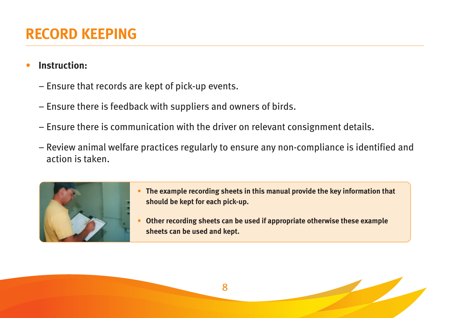#### • **Instruction:**

- Ensure that records are kept of pick-up events.
- Ensure there is feedback with suppliers and owners of birds.
- Ensure there is communication with the driver on relevant consignment details.
- Review animal welfare practices regularly to ensure any non-compliance is identified and action is taken.



- **• The example recording sheets in this manual provide the key information that should be kept for each pick-up.**
- **• Other recording sheets can be used if appropriate otherwise these example sheets can be used and kept.**

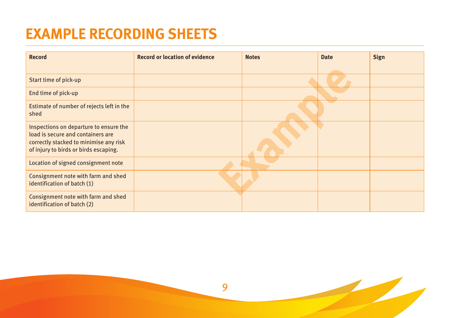# **EXAMPLE RECORDING SHEETS**

| <b>Record</b>                                                                                                                                                  | <b>Record or location of evidence</b> | <b>Notes</b> | <b>Date</b> | <b>Sign</b> |
|----------------------------------------------------------------------------------------------------------------------------------------------------------------|---------------------------------------|--------------|-------------|-------------|
|                                                                                                                                                                |                                       |              |             |             |
| Start time of pick-up                                                                                                                                          |                                       |              |             |             |
| End time of pick-up                                                                                                                                            |                                       |              |             |             |
| Estimate of number of rejects left in the<br>shed                                                                                                              |                                       |              |             |             |
| Inspections on departure to ensure the<br>load is secure and containers are<br>correctly stacked to minimise any risk<br>of injury to birds or birds escaping. |                                       |              |             |             |
| Location of signed consignment note                                                                                                                            |                                       |              |             |             |
| Consignment note with farm and shed<br>identification of batch (1)                                                                                             |                                       |              |             |             |
| Consignment note with farm and shed<br>identification of batch (2)                                                                                             |                                       |              |             |             |

9